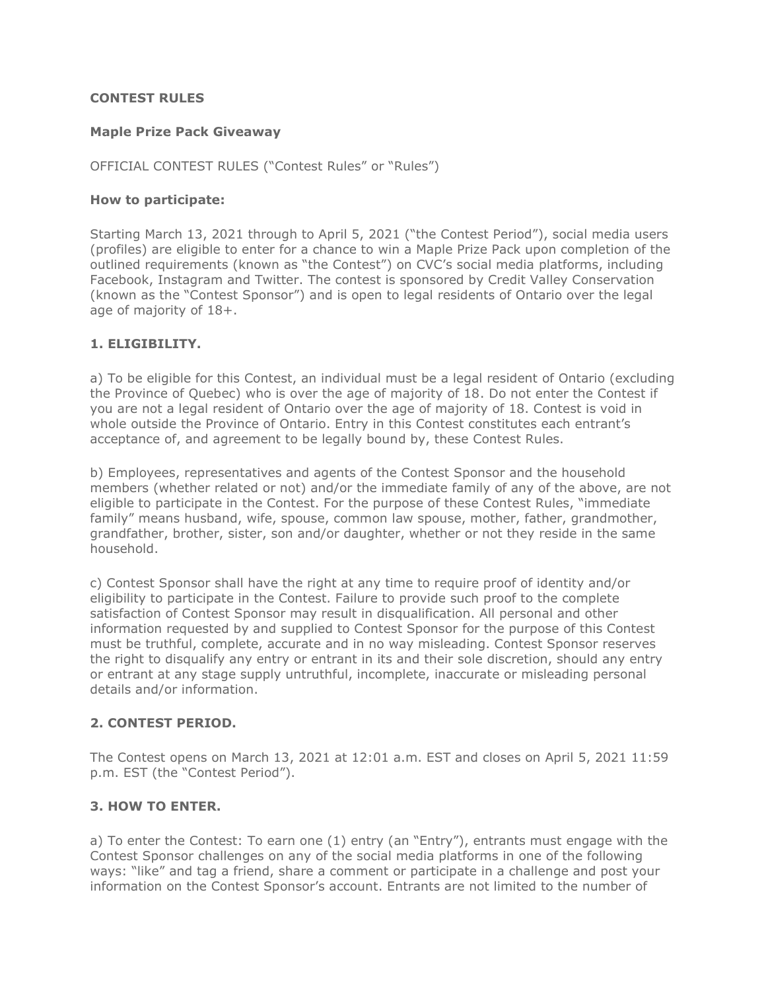### **CONTEST RULES**

### **Maple Prize Pack Giveaway**

OFFICIAL CONTEST RULES ("Contest Rules" or "Rules")

### **How to participate:**

Starting March 13, 2021 through to April 5, 2021 ("the Contest Period"), social media users (profiles) are eligible to enter for a chance to win a Maple Prize Pack upon completion of the outlined requirements (known as "the Contest") on CVC's social media platforms, including Facebook, Instagram and Twitter. The contest is sponsored by Credit Valley Conservation (known as the "Contest Sponsor") and is open to legal residents of Ontario over the legal age of majority of 18+.

# **1. ELIGIBILITY.**

a) To be eligible for this Contest, an individual must be a legal resident of Ontario (excluding the Province of Quebec) who is over the age of majority of 18. Do not enter the Contest if you are not a legal resident of Ontario over the age of majority of 18. Contest is void in whole outside the Province of Ontario. Entry in this Contest constitutes each entrant's acceptance of, and agreement to be legally bound by, these Contest Rules.

b) Employees, representatives and agents of the Contest Sponsor and the household members (whether related or not) and/or the immediate family of any of the above, are not eligible to participate in the Contest. For the purpose of these Contest Rules, "immediate family" means husband, wife, spouse, common law spouse, mother, father, grandmother, grandfather, brother, sister, son and/or daughter, whether or not they reside in the same household.

c) Contest Sponsor shall have the right at any time to require proof of identity and/or eligibility to participate in the Contest. Failure to provide such proof to the complete satisfaction of Contest Sponsor may result in disqualification. All personal and other information requested by and supplied to Contest Sponsor for the purpose of this Contest must be truthful, complete, accurate and in no way misleading. Contest Sponsor reserves the right to disqualify any entry or entrant in its and their sole discretion, should any entry or entrant at any stage supply untruthful, incomplete, inaccurate or misleading personal details and/or information.

### **2. CONTEST PERIOD.**

The Contest opens on March 13, 2021 at 12:01 a.m. EST and closes on April 5, 2021 11:59 p.m. EST (the "Contest Period").

# **3. HOW TO ENTER.**

a) To enter the Contest: To earn one (1) entry (an "Entry"), entrants must engage with the Contest Sponsor challenges on any of the social media platforms in one of the following ways: "like" and tag a friend, share a comment or participate in a challenge and post your information on the Contest Sponsor's account. Entrants are not limited to the number of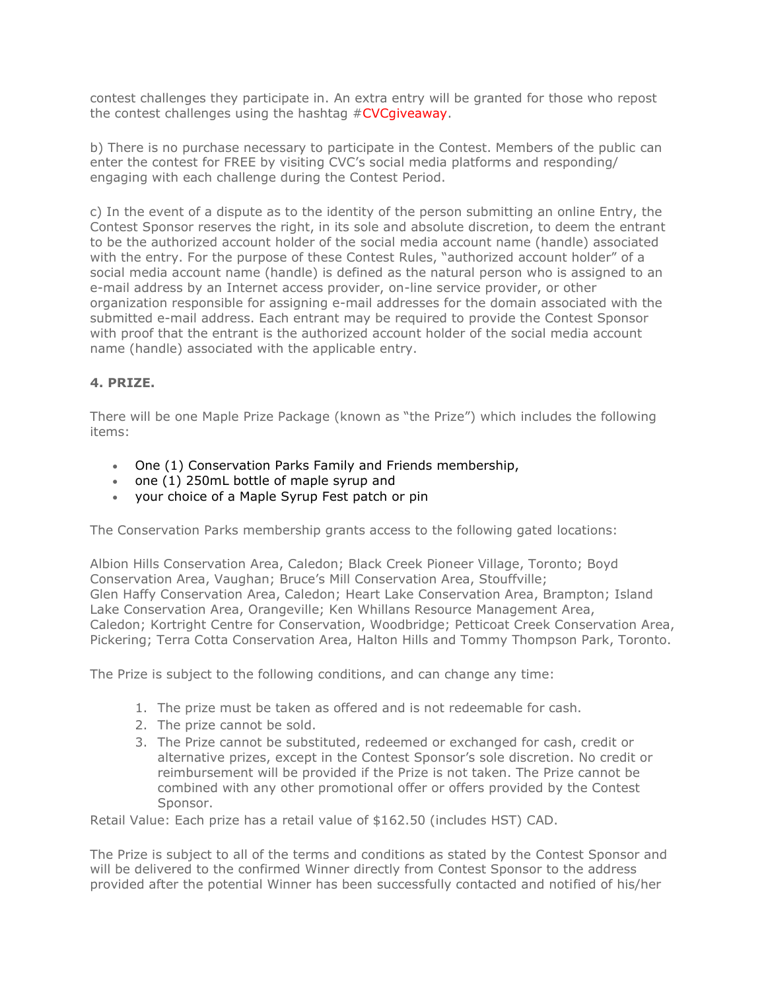contest challenges they participate in. An extra entry will be granted for those who repost the contest challenges using the hashtag  $\#CVCg$  iveraway.

b) There is no purchase necessary to participate in the Contest. Members of the public can enter the contest for FREE by visiting CVC's social media platforms and responding/ engaging with each challenge during the Contest Period.

c) In the event of a dispute as to the identity of the person submitting an online Entry, the Contest Sponsor reserves the right, in its sole and absolute discretion, to deem the entrant to be the authorized account holder of the social media account name (handle) associated with the entry. For the purpose of these Contest Rules, "authorized account holder" of a social media account name (handle) is defined as the natural person who is assigned to an e-mail address by an Internet access provider, on-line service provider, or other organization responsible for assigning e-mail addresses for the domain associated with the submitted e-mail address. Each entrant may be required to provide the Contest Sponsor with proof that the entrant is the authorized account holder of the social media account name (handle) associated with the applicable entry.

# **4. PRIZE.**

There will be one Maple Prize Package (known as "the Prize") which includes the following items:

- One (1) Conservation Parks Family and Friends membership,
- one (1) 250mL bottle of maple syrup and
- your choice of a Maple Syrup Fest patch or pin

The Conservation Parks membership grants access to the following gated locations:

Albion Hills Conservation Area, Caledon; Black Creek Pioneer Village, Toronto; Boyd Conservation Area, Vaughan; Bruce's Mill Conservation Area, Stouffville; Glen Haffy Conservation Area, Caledon; Heart Lake Conservation Area, Brampton; Island Lake Conservation Area, Orangeville; Ken Whillans Resource Management Area, Caledon; Kortright Centre for Conservation, Woodbridge; Petticoat Creek Conservation Area, Pickering; Terra Cotta Conservation Area, Halton Hills and Tommy Thompson Park, Toronto.

The Prize is subject to the following conditions, and can change any time:

- 1. The prize must be taken as offered and is not redeemable for cash.
- 2. The prize cannot be sold.
- 3. The Prize cannot be substituted, redeemed or exchanged for cash, credit or alternative prizes, except in the Contest Sponsor's sole discretion. No credit or reimbursement will be provided if the Prize is not taken. The Prize cannot be combined with any other promotional offer or offers provided by the Contest Sponsor.

Retail Value: Each prize has a retail value of \$162.50 (includes HST) CAD.

The Prize is subject to all of the terms and conditions as stated by the Contest Sponsor and will be delivered to the confirmed Winner directly from Contest Sponsor to the address provided after the potential Winner has been successfully contacted and notified of his/her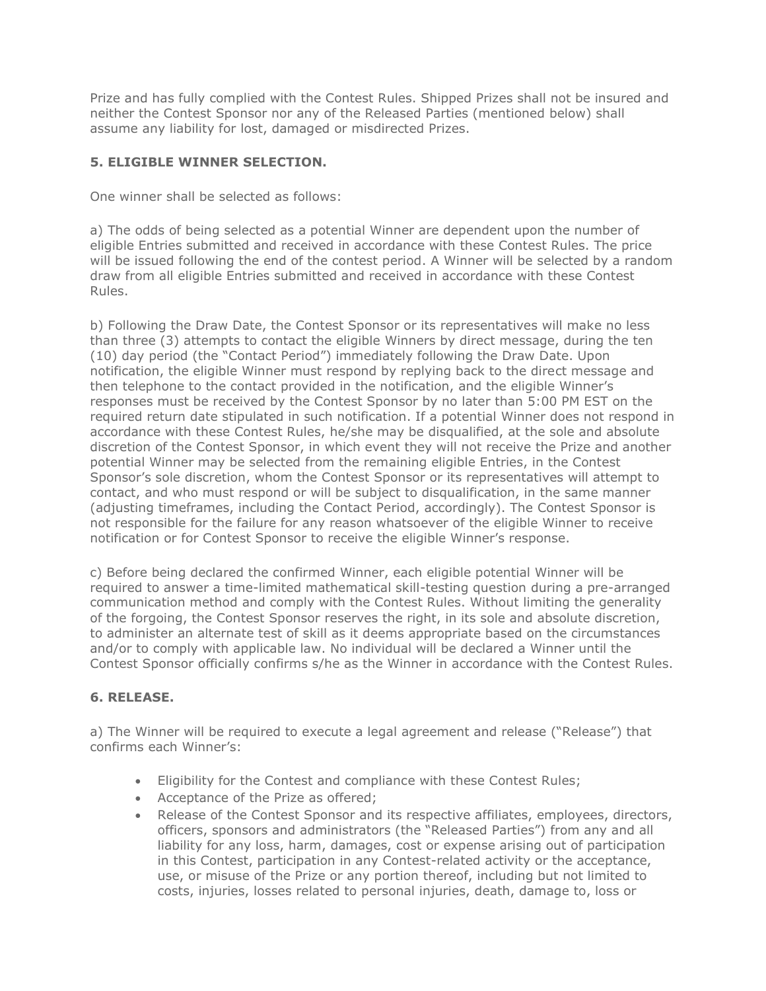Prize and has fully complied with the Contest Rules. Shipped Prizes shall not be insured and neither the Contest Sponsor nor any of the Released Parties (mentioned below) shall assume any liability for lost, damaged or misdirected Prizes.

# **5. ELIGIBLE WINNER SELECTION.**

One winner shall be selected as follows:

a) The odds of being selected as a potential Winner are dependent upon the number of eligible Entries submitted and received in accordance with these Contest Rules. The price will be issued following the end of the contest period. A Winner will be selected by a random draw from all eligible Entries submitted and received in accordance with these Contest Rules.

b) Following the Draw Date, the Contest Sponsor or its representatives will make no less than three (3) attempts to contact the eligible Winners by direct message, during the ten (10) day period (the "Contact Period") immediately following the Draw Date. Upon notification, the eligible Winner must respond by replying back to the direct message and then telephone to the contact provided in the notification, and the eligible Winner's responses must be received by the Contest Sponsor by no later than 5:00 PM EST on the required return date stipulated in such notification. If a potential Winner does not respond in accordance with these Contest Rules, he/she may be disqualified, at the sole and absolute discretion of the Contest Sponsor, in which event they will not receive the Prize and another potential Winner may be selected from the remaining eligible Entries, in the Contest Sponsor's sole discretion, whom the Contest Sponsor or its representatives will attempt to contact, and who must respond or will be subject to disqualification, in the same manner (adjusting timeframes, including the Contact Period, accordingly). The Contest Sponsor is not responsible for the failure for any reason whatsoever of the eligible Winner to receive notification or for Contest Sponsor to receive the eligible Winner's response.

c) Before being declared the confirmed Winner, each eligible potential Winner will be required to answer a time-limited mathematical skill-testing question during a pre-arranged communication method and comply with the Contest Rules. Without limiting the generality of the forgoing, the Contest Sponsor reserves the right, in its sole and absolute discretion, to administer an alternate test of skill as it deems appropriate based on the circumstances and/or to comply with applicable law. No individual will be declared a Winner until the Contest Sponsor officially confirms s/he as the Winner in accordance with the Contest Rules.

# **6. RELEASE.**

a) The Winner will be required to execute a legal agreement and release ("Release") that confirms each Winner's:

- Eligibility for the Contest and compliance with these Contest Rules;
- Acceptance of the Prize as offered;
- Release of the Contest Sponsor and its respective affiliates, employees, directors, officers, sponsors and administrators (the "Released Parties") from any and all liability for any loss, harm, damages, cost or expense arising out of participation in this Contest, participation in any Contest-related activity or the acceptance, use, or misuse of the Prize or any portion thereof, including but not limited to costs, injuries, losses related to personal injuries, death, damage to, loss or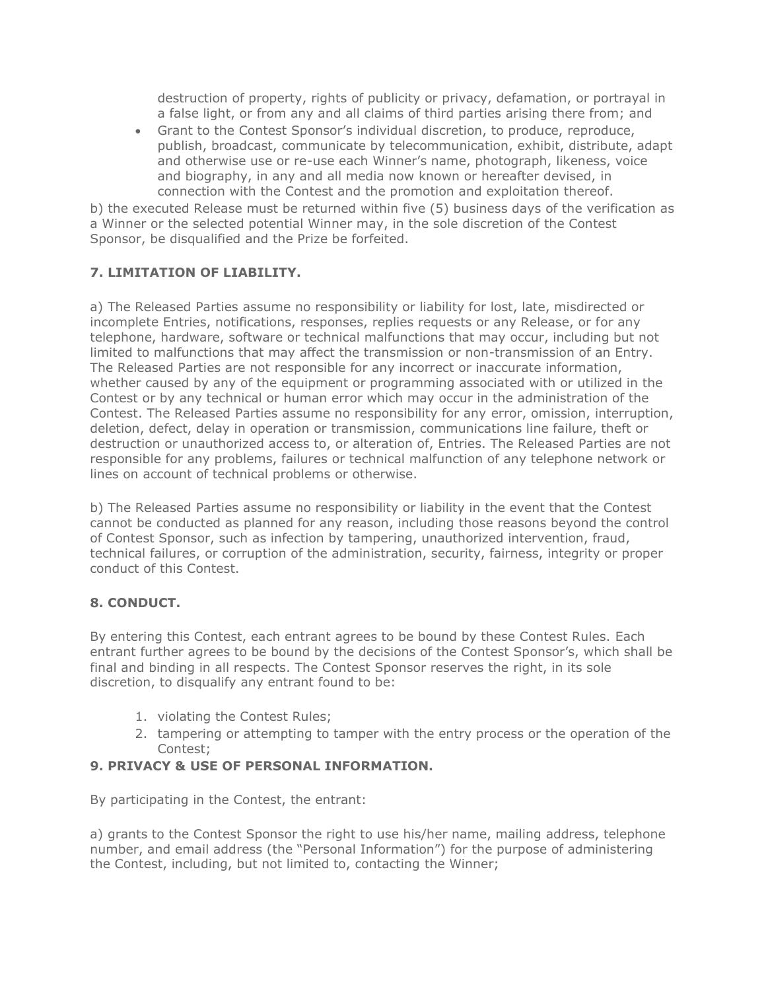destruction of property, rights of publicity or privacy, defamation, or portrayal in a false light, or from any and all claims of third parties arising there from; and

• Grant to the Contest Sponsor's individual discretion, to produce, reproduce, publish, broadcast, communicate by telecommunication, exhibit, distribute, adapt and otherwise use or re-use each Winner's name, photograph, likeness, voice and biography, in any and all media now known or hereafter devised, in connection with the Contest and the promotion and exploitation thereof.

b) the executed Release must be returned within five (5) business days of the verification as a Winner or the selected potential Winner may, in the sole discretion of the Contest Sponsor, be disqualified and the Prize be forfeited.

# **7. LIMITATION OF LIABILITY.**

a) The Released Parties assume no responsibility or liability for lost, late, misdirected or incomplete Entries, notifications, responses, replies requests or any Release, or for any telephone, hardware, software or technical malfunctions that may occur, including but not limited to malfunctions that may affect the transmission or non-transmission of an Entry. The Released Parties are not responsible for any incorrect or inaccurate information, whether caused by any of the equipment or programming associated with or utilized in the Contest or by any technical or human error which may occur in the administration of the Contest. The Released Parties assume no responsibility for any error, omission, interruption, deletion, defect, delay in operation or transmission, communications line failure, theft or destruction or unauthorized access to, or alteration of, Entries. The Released Parties are not responsible for any problems, failures or technical malfunction of any telephone network or lines on account of technical problems or otherwise.

b) The Released Parties assume no responsibility or liability in the event that the Contest cannot be conducted as planned for any reason, including those reasons beyond the control of Contest Sponsor, such as infection by tampering, unauthorized intervention, fraud, technical failures, or corruption of the administration, security, fairness, integrity or proper conduct of this Contest.

# **8. CONDUCT.**

By entering this Contest, each entrant agrees to be bound by these Contest Rules. Each entrant further agrees to be bound by the decisions of the Contest Sponsor's, which shall be final and binding in all respects. The Contest Sponsor reserves the right, in its sole discretion, to disqualify any entrant found to be:

- 1. violating the Contest Rules;
- 2. tampering or attempting to tamper with the entry process or the operation of the Contest;

# **9. PRIVACY & USE OF PERSONAL INFORMATION.**

By participating in the Contest, the entrant:

a) grants to the Contest Sponsor the right to use his/her name, mailing address, telephone number, and email address (the "Personal Information") for the purpose of administering the Contest, including, but not limited to, contacting the Winner;